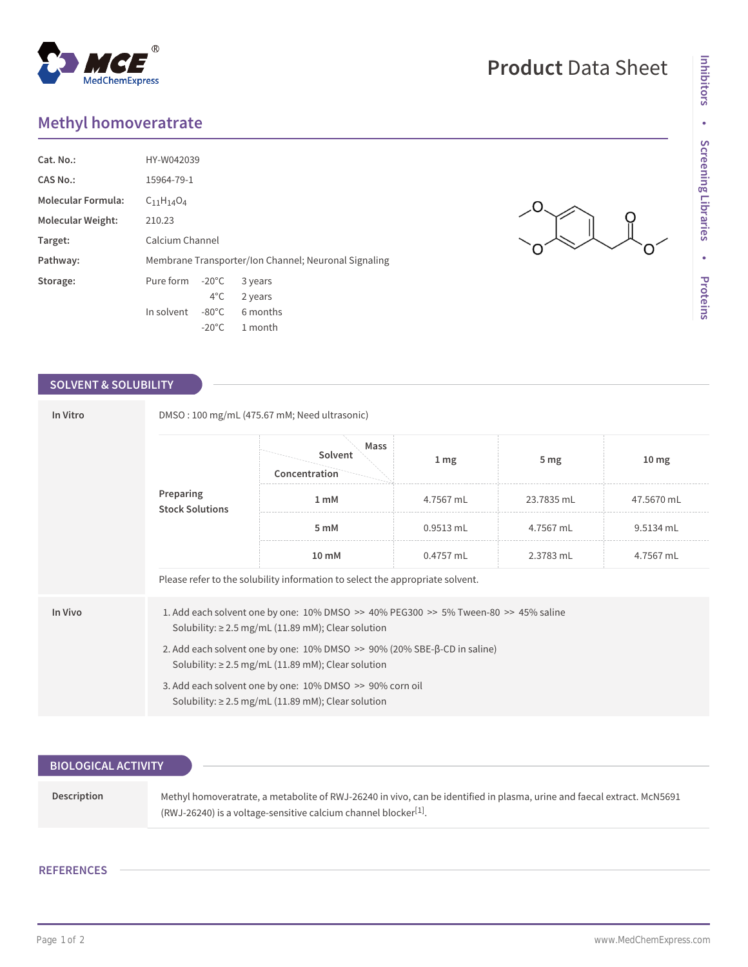## **Methyl homoveratrate**

| Cat. No.:                 | HY-W042039                                           |                 |          |  |  |
|---------------------------|------------------------------------------------------|-----------------|----------|--|--|
| CAS No.:                  | 15964-79-1                                           |                 |          |  |  |
| <b>Molecular Formula:</b> | $C_{11}H_{14}O_4$                                    |                 |          |  |  |
| Molecular Weight:         | 210.23                                               |                 |          |  |  |
| Target:                   | Calcium Channel                                      |                 |          |  |  |
| Pathway:                  | Membrane Transporter/Ion Channel; Neuronal Signaling |                 |          |  |  |
| Storage:                  | Pure form                                            | $-20^{\circ}$ C | 3 years  |  |  |
|                           |                                                      | $4^{\circ}$ C   | 2 years  |  |  |
|                           | In solvent                                           | $-80^{\circ}$ C | 6 months |  |  |
|                           |                                                      | $-20^{\circ}$ C | 1 month  |  |  |

## **SOLVENT & SOLUBILITY**

| In Vitro | DMSO: 100 mg/mL (475.67 mM; Need ultrasonic)                                                                                                      |                                  |                  |                 |                  |  |  |
|----------|---------------------------------------------------------------------------------------------------------------------------------------------------|----------------------------------|------------------|-----------------|------------------|--|--|
|          |                                                                                                                                                   | Mass<br>Solvent<br>Concentration | $1 \, \text{mg}$ | 5 <sub>mg</sub> | 10 <sub>mg</sub> |  |  |
|          | Preparing<br><b>Stock Solutions</b>                                                                                                               | 1 <sub>m</sub> M                 | 4.7567 mL        | 23.7835 mL      | 47.5670 mL       |  |  |
|          |                                                                                                                                                   | 5 mM                             | 0.9513 mL        | 4.7567 mL       | 9.5134 mL        |  |  |
|          |                                                                                                                                                   | $10 \text{ mM}$                  | 0.4757 mL        | 2.3783 mL       | 4.7567 mL        |  |  |
|          | Please refer to the solubility information to select the appropriate solvent.                                                                     |                                  |                  |                 |                  |  |  |
| In Vivo  | 1. Add each solvent one by one: 10% DMSO >> 40% PEG300 >> 5% Tween-80 >> 45% saline<br>Solubility: $\geq$ 2.5 mg/mL (11.89 mM); Clear solution    |                                  |                  |                 |                  |  |  |
|          | 2. Add each solvent one by one: $10\%$ DMSO $\gg$ 90% (20% SBE- $\beta$ -CD in saline)<br>Solubility: $\geq$ 2.5 mg/mL (11.89 mM); Clear solution |                                  |                  |                 |                  |  |  |
|          | 3. Add each solvent one by one: 10% DMSO >> 90% corn oil<br>Solubility: $\geq$ 2.5 mg/mL (11.89 mM); Clear solution                               |                                  |                  |                 |                  |  |  |

| <b>BIOLOGICAL ACTIVITY</b> |                                                                                                                                                                                                        |
|----------------------------|--------------------------------------------------------------------------------------------------------------------------------------------------------------------------------------------------------|
| <b>Description</b>         | Methyl homoveratrate, a metabolite of RWJ-26240 in vivo, can be identified in plasma, urine and faecal extract. McN5691<br>(RWJ-26240) is a voltage-sensitive calcium channel blocker <sup>[1]</sup> . |

## **REFERENCES**